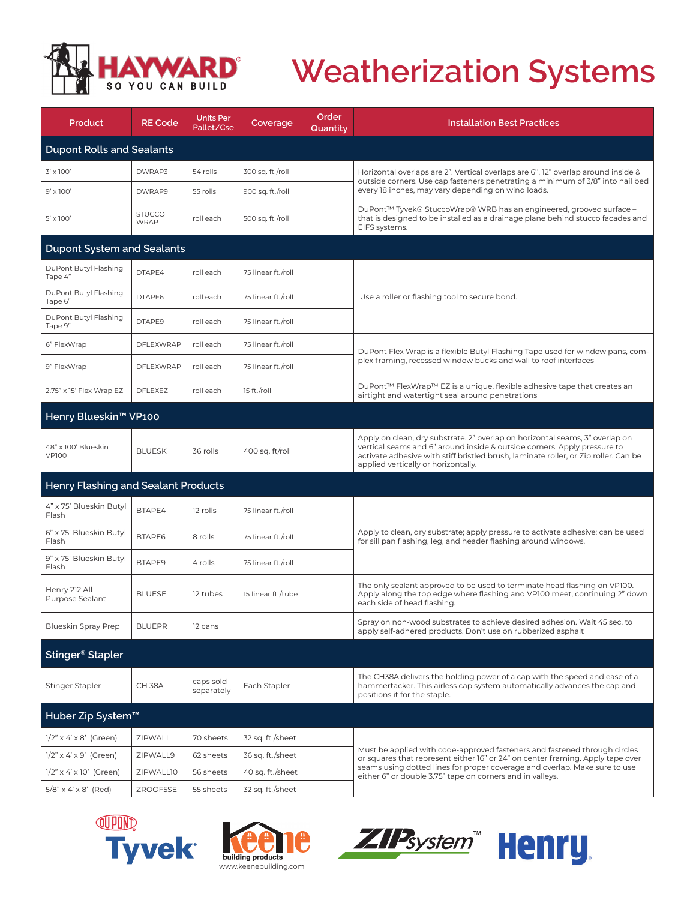

## **Weatherization Systems**

| Product                                    | <b>RE Code</b>               | <b>Units Per</b><br>Pallet/Cse | Coverage           | Order<br>Quantity | <b>Installation Best Practices</b>                                                                                                                                                                                                                                                                     |  |  |  |  |
|--------------------------------------------|------------------------------|--------------------------------|--------------------|-------------------|--------------------------------------------------------------------------------------------------------------------------------------------------------------------------------------------------------------------------------------------------------------------------------------------------------|--|--|--|--|
| <b>Dupont Rolls and Sealants</b>           |                              |                                |                    |                   |                                                                                                                                                                                                                                                                                                        |  |  |  |  |
| $3' \times 100'$                           | DWRAP3                       | 54 rolls                       | 300 sq. ft./roll   |                   | Horizontal overlaps are 2". Vertical overlaps are 6". 12" overlap around inside &                                                                                                                                                                                                                      |  |  |  |  |
| $9' \times 100'$                           | DWRAP9                       | 55 rolls                       | 900 sq. ft./roll   |                   | outside corners. Use cap fasteners penetrating a minimum of 3/8" into nail bed<br>every 18 inches, may vary depending on wind loads.                                                                                                                                                                   |  |  |  |  |
| $5' \times 100'$                           | <b>STUCCO</b><br><b>WRAP</b> | roll each                      | 500 sq. ft./roll   |                   | DuPont™ Tyvek® StuccoWrap® WRB has an engineered, grooved surface –<br>that is designed to be installed as a drainage plane behind stucco facades and<br>EIFS systems.                                                                                                                                 |  |  |  |  |
| <b>Dupont System and Sealants</b>          |                              |                                |                    |                   |                                                                                                                                                                                                                                                                                                        |  |  |  |  |
| DuPont Butyl Flashing<br>Tape 4"           | DTAPE4                       | roll each                      | 75 linear ft./roll |                   | Use a roller or flashing tool to secure bond.                                                                                                                                                                                                                                                          |  |  |  |  |
| DuPont Butyl Flashing<br>Tape 6"           | DTAPE6                       | roll each                      | 75 linear ft./roll |                   |                                                                                                                                                                                                                                                                                                        |  |  |  |  |
| DuPont Butyl Flashing<br>Tape 9"           | DTAPE9                       | roll each                      | 75 linear ft./roll |                   |                                                                                                                                                                                                                                                                                                        |  |  |  |  |
| 6" FlexWrap                                | <b>DFLEXWRAP</b>             | roll each                      | 75 linear ft./roll |                   | DuPont Flex Wrap is a flexible Butyl Flashing Tape used for window pans, com-                                                                                                                                                                                                                          |  |  |  |  |
| 9" FlexWrap                                | <b>DFLEXWRAP</b>             | roll each                      | 75 linear ft./roll |                   | plex framing, recessed window bucks and wall to roof interfaces                                                                                                                                                                                                                                        |  |  |  |  |
| 2.75" x 15' Flex Wrap EZ                   | <b>DFLEXEZ</b>               | roll each                      | 15 ft./roll        |                   | DuPont™ FlexWrap™ EZ is a unique, flexible adhesive tape that creates an<br>airtight and watertight seal around penetrations                                                                                                                                                                           |  |  |  |  |
| Henry Blueskin <sup>™</sup> VP100          |                              |                                |                    |                   |                                                                                                                                                                                                                                                                                                        |  |  |  |  |
| 48" x 100' Blueskin<br><b>VP100</b>        | <b>BLUESK</b>                | 36 rolls                       | 400 sq. ft/roll    |                   | Apply on clean, dry substrate. 2" overlap on horizontal seams, 3" overlap on<br>vertical seams and 6" around inside & outside corners. Apply pressure to<br>activate adhesive with stiff bristled brush, laminate roller, or Zip roller. Can be<br>applied vertically or horizontally.                 |  |  |  |  |
| <b>Henry Flashing and Sealant Products</b> |                              |                                |                    |                   |                                                                                                                                                                                                                                                                                                        |  |  |  |  |
| 4" x 75' Blueskin Butyl<br>Flash           | BTAPE4                       | 12 rolls                       | 75 linear ft./roll |                   |                                                                                                                                                                                                                                                                                                        |  |  |  |  |
| 6" x 75' Blueskin Butyl<br>Flash           | BTAPE6                       | 8 rolls                        | 75 linear ft./roll |                   | Apply to clean, dry substrate; apply pressure to activate adhesive; can be used<br>for sill pan flashing, leg, and header flashing around windows.                                                                                                                                                     |  |  |  |  |
| 9" x 75' Blueskin Butyl<br>Flash           | BTAPE9                       | 4 rolls                        | 75 linear ft./roll |                   |                                                                                                                                                                                                                                                                                                        |  |  |  |  |
| Henry 212 All<br>Purpose Sealant           | <b>BLUESE</b>                | 12 tubes                       | 15 linear ft./tube |                   | The only sealant approved to be used to terminate head flashing on VP100.<br>Apply along the top edge where flashing and VP100 meet, continuing 2" down<br>each side of head flashing.                                                                                                                 |  |  |  |  |
| <b>Blueskin Spray Prep</b>                 | <b>BLUEPR</b>                | 12 cans                        |                    |                   | Spray on non-wood substrates to achieve desired adhesion. Wait 45 sec. to<br>apply self-adhered products. Don't use on rubberized asphalt                                                                                                                                                              |  |  |  |  |
| Stinger <sup>®</sup> Stapler               |                              |                                |                    |                   |                                                                                                                                                                                                                                                                                                        |  |  |  |  |
| Stinger Stapler                            | CH <sub>38A</sub>            | caps sold<br>separately        | Each Stapler       |                   | The CH38A delivers the holding power of a cap with the speed and ease of a<br>hammertacker. This airless cap system automatically advances the cap and<br>positions it for the staple.                                                                                                                 |  |  |  |  |
| Huber Zip System™                          |                              |                                |                    |                   |                                                                                                                                                                                                                                                                                                        |  |  |  |  |
| $1/2" \times 4' \times 8'$ (Green)         | ZIPWALL                      | 70 sheets                      | 32 sq. ft./sheet   |                   | Must be applied with code-approved fasteners and fastened through circles<br>or squares that represent either 16" or 24" on center framing. Apply tape over<br>seams using dotted lines for proper coverage and overlap. Make sure to use<br>either 6" or double 3.75" tape on corners and in valleys. |  |  |  |  |
| $1/2" \times 4' \times 9'$ (Green)         | ZIPWALL9                     | 62 sheets                      | 36 sq. ft./sheet   |                   |                                                                                                                                                                                                                                                                                                        |  |  |  |  |
| $1/2"$ x 4' x 10' (Green)                  | ZIPWALL10                    | 56 sheets                      | 40 sq. ft./sheet   |                   |                                                                                                                                                                                                                                                                                                        |  |  |  |  |
| $5/8$ " x 4' x 8' (Red)                    | ZROOF5SE                     | 55 sheets                      | 32 sq. ft./sheet   |                   |                                                                                                                                                                                                                                                                                                        |  |  |  |  |